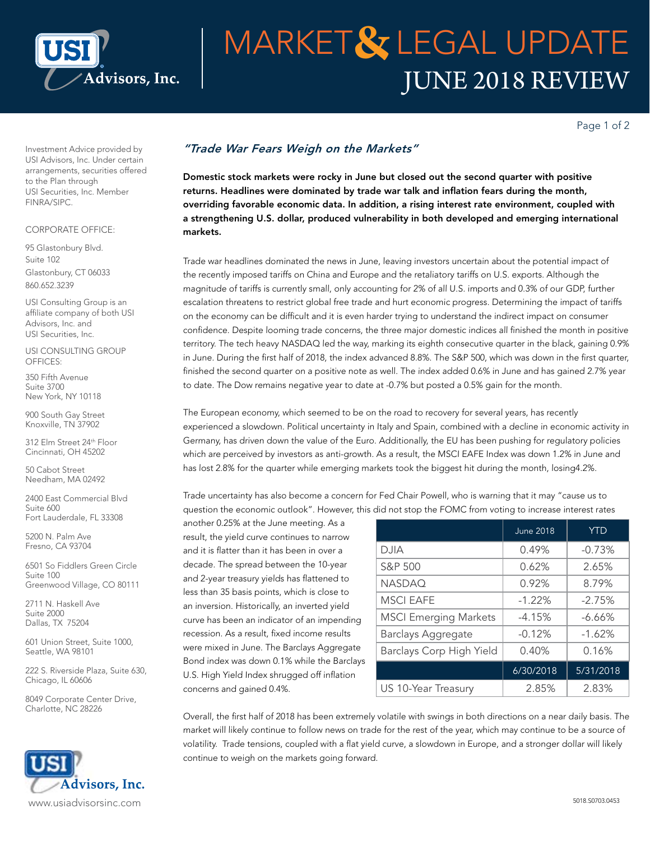

# JUNE 2018 REVIEW **MARKET& LEGAL UPDATE**

Page 1 of 2

Investment Advice provided by USI Advisors, Inc. Under certain arrangements, securities offered to the Plan through USI Securities, Inc. Member FINRA/SIPC.

### CORPORATE OFFICE:

95 Glastonbury Blvd. Suite 102 Glastonbury, CT 06033 860.652.3239

USI Consulting Group is an affiliate company of both USI Advisors, Inc. and USI Securities, Inc.

USI CONSULTING GROUP OFFICES:

350 Fifth Avenue Suite 3700 New York, NY 10118

900 South Gay Street Knoxville, TN 37902

312 Elm Street 24th Floor Cincinnati, OH 45202

50 Cabot Street Needham, MA 02492

2400 East Commercial Blvd Suite 600 Fort Lauderdale, FL 33308

5200 N. Palm Ave Fresno, CA 93704

6501 So Fiddlers Green Circle Suite 100 Greenwood Village, CO 80111

[2711 N. Haskell Ave](x-apple-data-detectors://2/1) [Suite 2000](x-apple-data-detectors://2/1) [Dallas, TX 75204](x-apple-data-detectors://2/1)

601 Union Street, Suite 1000, Seattle, WA 98101

222 S. Riverside Plaza, Suite 630, Chicago, IL 60606

8049 Corporate Center Drive, Charlotte, NC 28226



### *"Trade War Fears Weigh on the Markets"*

Domestic stock markets were rocky in June but closed out the second quarter with positive returns. Headlines were dominated by trade war talk and inflation fears during the month, overriding favorable economic data. In addition, a rising interest rate environment, coupled with a strengthening U.S. dollar, produced vulnerability in both developed and emerging international markets.

Trade war headlines dominated the news in June, leaving investors uncertain about the potential impact of the recently imposed tariffs on China and Europe and the retaliatory tariffs on U.S. exports. Although the magnitude of tariffs is currently small, only accounting for 2% of all U.S. imports and 0.3% of our GDP, further escalation threatens to restrict global free trade and hurt economic progress. Determining the impact of tariffs on the economy can be difficult and it is even harder trying to understand the indirect impact on consumer confidence. Despite looming trade concerns, the three major domestic indices all finished the month in positive territory. The tech heavy NASDAQ led the way, marking its eighth consecutive quarter in the black, gaining 0.9% in June. During the first half of 2018, the index advanced 8.8%. The S&P 500, which was down in the first quarter, finished the second quarter on a positive note as well. The index added 0.6% in June and has gained 2.7% year to date. The Dow remains negative year to date at -0.7% but posted a 0.5% gain for the month.

The European economy, which seemed to be on the road to recovery for several years, has recently experienced a slowdown. Political uncertainty in Italy and Spain, combined with a decline in economic activity in Germany, has driven down the value of the Euro. Additionally, the EU has been pushing for regulatory policies which are perceived by investors as anti-growth. As a result, the MSCI EAFE Index was down 1.2% in June and has lost 2.8% for the quarter while emerging markets took the biggest hit during the month, losing4.2%.

Trade uncertainty has also become a concern for Fed Chair Powell, who is warning that it may "cause us to question the economic outlook". However, this did not stop the FOMC from voting to increase interest rates

another 0.25% at the June meeting. As a result, the yield curve continues to narrow and it is flatter than it has been in over a decade. The spread between the 10-year and 2-year treasury yields has flattened to less than 35 basis points, which is close to an inversion. Historically, an inverted yield curve has been an indicator of an impending recession. As a result, fixed income results were mixed in June. The Barclays Aggregate Bond index was down 0.1% while the Barclays U.S. High Yield Index shrugged off inflation concerns and gained 0.4%.

|                              | <b>June 2018</b> | <b>YTD</b> |
|------------------------------|------------------|------------|
|                              |                  |            |
| <b>DJIA</b>                  | 0.49%            | $-0.73%$   |
| S&P 500                      | 0.62%            | 2.65%      |
| <b>NASDAQ</b>                | 0.92%            | 8.79%      |
| <b>MSCI EAFE</b>             | $-1.22%$         | $-2.75%$   |
| <b>MSCI Emerging Markets</b> | $-4.15%$         | $-6.66\%$  |
| <b>Barclays Aggregate</b>    | $-0.12%$         | $-1.62%$   |
| Barclays Corp High Yield     | 0.40%            | 0.16%      |
|                              | 6/30/2018        | 5/31/2018  |
| US 10-Year Treasury          | 2.85%            | 2.83%      |

Overall, the first half of 2018 has been extremely volatile with swings in both directions on a near daily basis. The market will likely continue to follow news on trade for the rest of the year, which may continue to be a source of volatility. Trade tensions, coupled with a flat yield curve, a slowdown in Europe, and a stronger dollar will likely continue to weigh on the markets going forward.